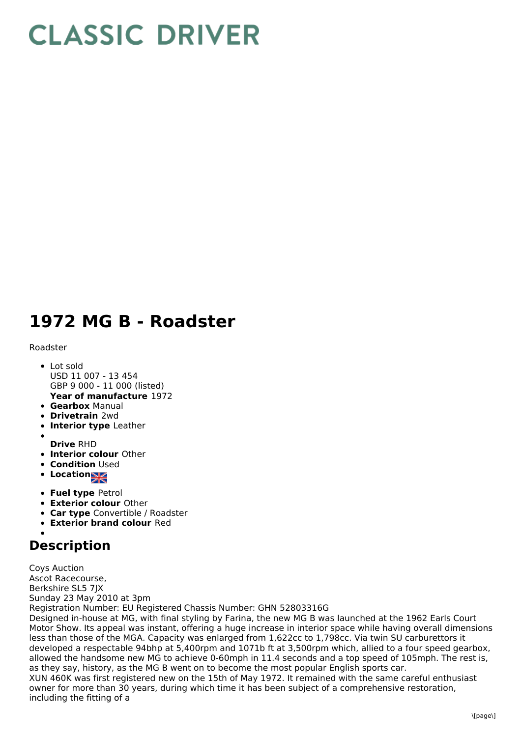## **CLASSIC DRIVER**

## **1972 MG B - Roadster**

## Roadster

- Lot sold USD 11 007 - 13 454 GBP 9 000 - 11 000 (listed)
- **Year of manufacture** 1972 **Gearbox** Manual
- **Drivetrain** 2wd
- 
- **Interior type** Leather
- **Drive** RHD
- **Interior colour** Other
- **Condition Used**
- Location<sub>al</sub>
- **Fuel type** Petrol
- **Exterior colour** Other
- **Car type** Convertible / Roadster
- **Exterior brand colour** Red

## **Description**

Coys Auction Ascot Racecourse, Berkshire SL5 7JX Sunday 23 May 2010 at 3pm Registration Number: EU Registered Chassis Number: GHN 52803316G

Designed in-house at MG, with final styling by Farina, the new MG B was launched at the 1962 Earls Court Motor Show. Its appeal was instant, offering a huge increase in interior space while having overall dimensions less than those of the MGA. Capacity was enlarged from 1,622cc to 1,798cc. Via twin SU carburettors it developed a respectable 94bhp at 5,400rpm and 1071b ft at 3,500rpm which, allied to a four speed gearbox, allowed the handsome new MG to achieve 0-60mph in 11.4 seconds and a top speed of 105mph. The rest is, as they say, history, as the MG B went on to become the most popular English sports car. XUN 460K was first registered new on the 15th of May 1972. It remained with the same careful enthusiast owner for more than 30 years, during which time it has been subject of a comprehensive restoration, including the fitting of a